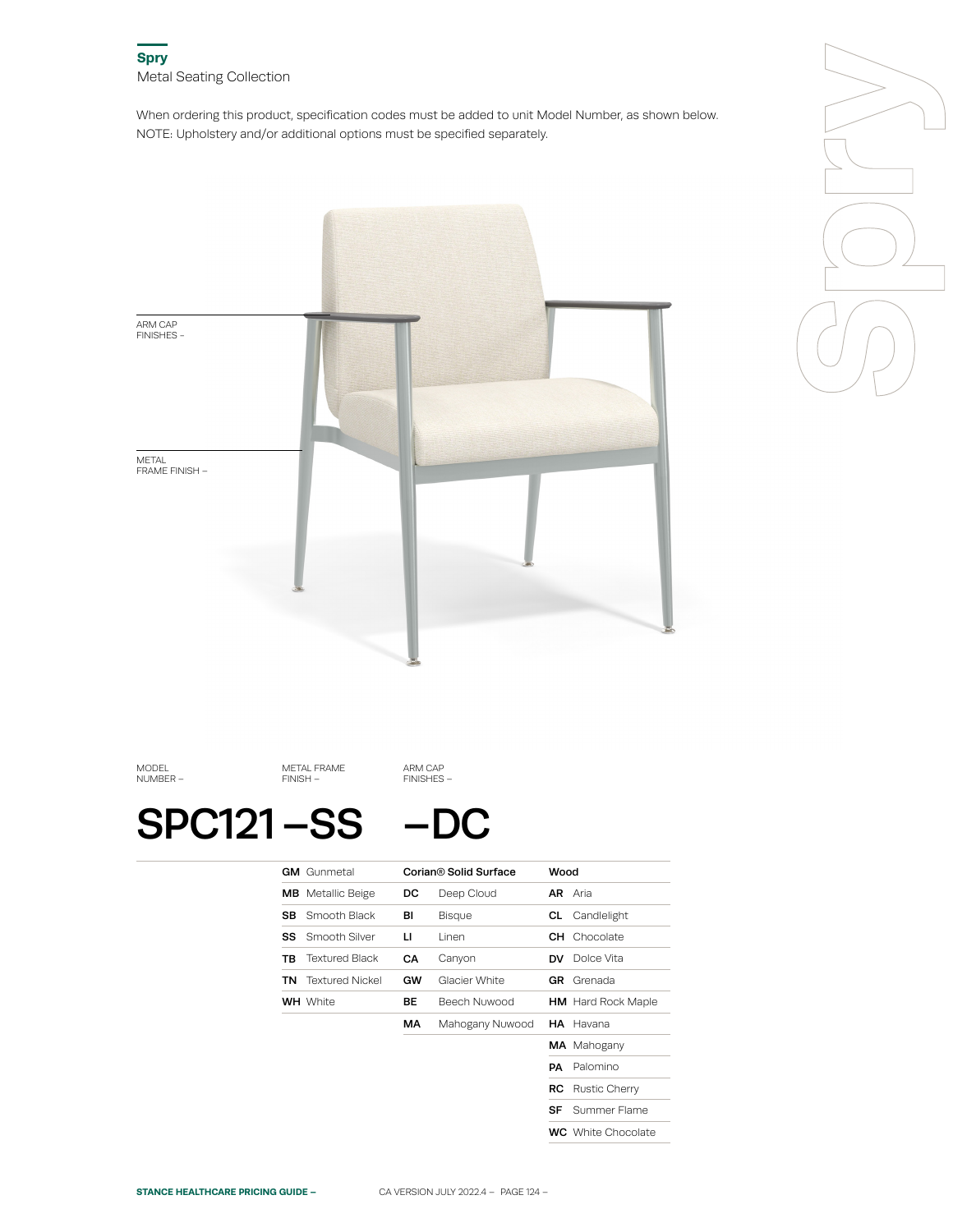When ordering this product, specification codes must be added to unit Model Number, as shown below. NOTE: Upholstery and/or additional options must be specified separately.





MODEL NUMBER –

METAL FRAME FINISH –

SPC121-SS -DC

ARM CAP FINISHES –

|     | <b>GM</b> Gunmetal       |    | Corian® Solid Surface | Wood      |                           |
|-----|--------------------------|----|-----------------------|-----------|---------------------------|
|     | <b>MB</b> Metallic Beige | DC | Deep Cloud            |           | <b>AR</b> Aria            |
| SB. | Smooth Black             | вı | Bisque                | CL.       | Candlelight               |
| SS  | Smooth Silver            | п  | Linen                 |           | <b>CH</b> Chocolate       |
| ΤВ  | <b>Textured Black</b>    | CА | Canyon                | <b>DV</b> | Dolce Vita                |
| TN  | <b>Textured Nickel</b>   | GW | Glacier White         | GR        | Grenada                   |
|     | <b>WH</b> White          | BЕ | <b>Beech Nuwood</b>   |           | <b>HM</b> Hard Rock Maple |
|     |                          | МA | Mahogany Nuwood       |           | <b>HA</b> Havana          |
|     |                          |    |                       |           | <b>MA</b> Mahogany        |
|     |                          |    |                       | PА        | Palomino                  |
|     |                          |    |                       | RC.       | <b>Rustic Cherry</b>      |
|     |                          |    |                       | SF        | Summer Flame              |
|     |                          |    |                       |           | <b>WC</b> White Chocolate |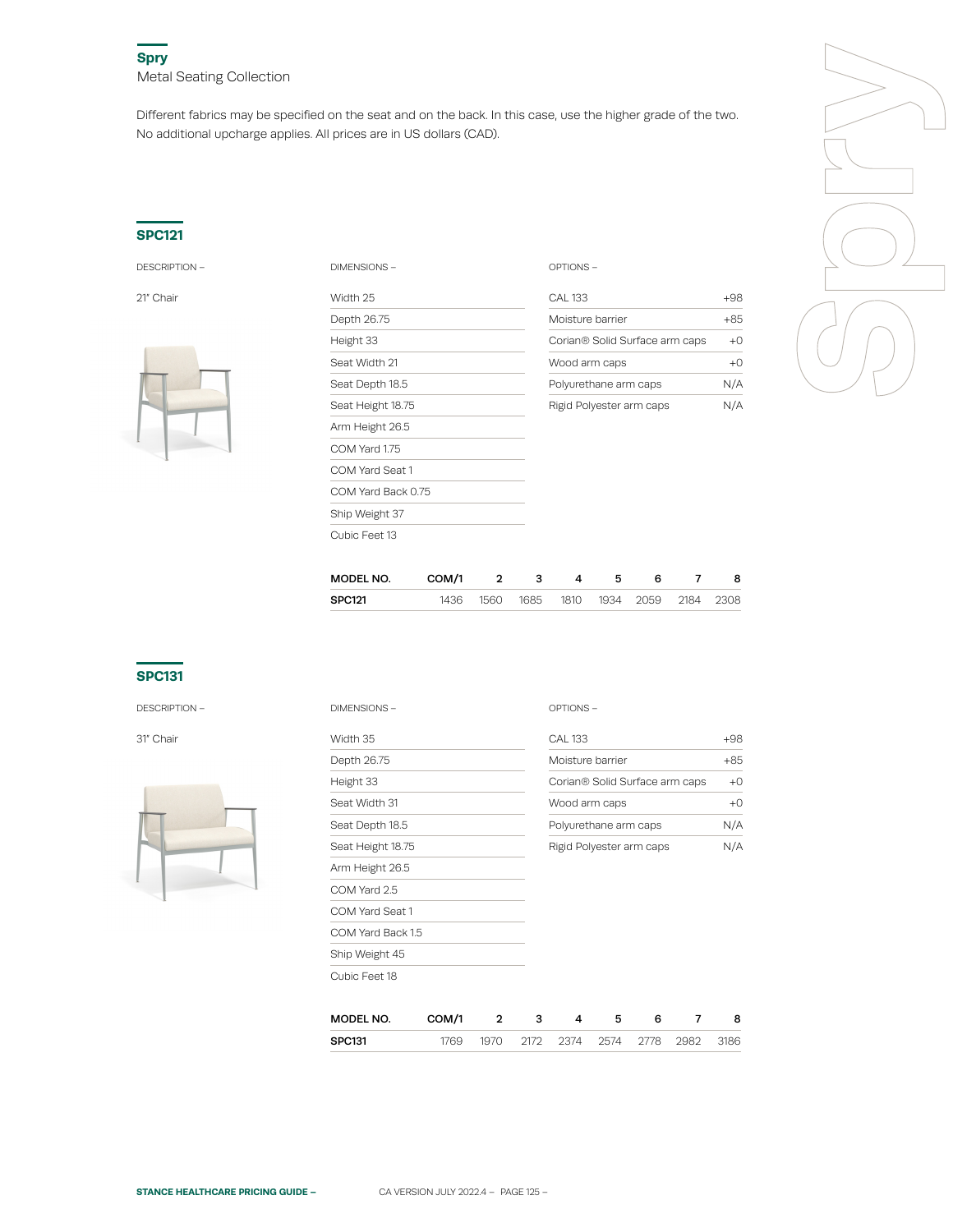Different fabrics may be specified on the seat and on the back. In this case, use the higher grade of the two. No additional upcharge applies. All prices are in US dollars (CAD).

### **SPC121**



| <b>DESCRIPTION -</b> | DIMENSIONS-        | OPTIONS-                                          |       |  |  |
|----------------------|--------------------|---------------------------------------------------|-------|--|--|
| 21" Chair            | Width 25           | <b>CAL 133</b>                                    | $+98$ |  |  |
|                      | Depth 26.75        | Moisture barrier                                  |       |  |  |
|                      | Height 33          | Corian® Solid Surface arm caps                    | $+0$  |  |  |
|                      | Seat Width 21      | Wood arm caps                                     | $+0$  |  |  |
|                      | Seat Depth 18.5    | Polyurethane arm caps<br>Rigid Polyester arm caps |       |  |  |
|                      | Seat Height 18.75  |                                                   |       |  |  |
|                      | Arm Height 26.5    |                                                   |       |  |  |
|                      | COM Yard 1.75      |                                                   |       |  |  |
|                      | COM Yard Seat 1    |                                                   |       |  |  |
|                      | COM Yard Back 0.75 |                                                   |       |  |  |
|                      | Ship Weight 37     |                                                   |       |  |  |
|                      | Cubic Feet 13      |                                                   |       |  |  |

| CAI 133                                    | +98   |
|--------------------------------------------|-------|
| Moisture barrier                           | $+85$ |
| Corian <sup>®</sup> Solid Surface arm caps | ⊦۲    |
| Wood arm caps                              | +۲    |
| Polyurethane arm caps                      | N/A   |
| Rigid Polyester arm caps                   |       |

| MODEL NO. | COM/1 | 2 3 | $\sim$ 4 | - 5 | 6                                       | -8 |
|-----------|-------|-----|----------|-----|-----------------------------------------|----|
| SPC121    |       |     |          |     | 1436 1560 1685 1810 1934 2059 2184 2308 |    |
|           |       |     |          |     |                                         |    |

### **SPC131**

DESCRIPTION –



| <b>DESCRIPTION -</b> | <b>DIMENSIONS -</b>                           |                 |              |   | OPTIONS-                               |   |                  |   |  |  |                   |
|----------------------|-----------------------------------------------|-----------------|--------------|---|----------------------------------------|---|------------------|---|--|--|-------------------|
| 31″ Chair            | Width 35                                      | <b>CAL 133</b>  |              |   |                                        |   |                  |   |  |  |                   |
|                      | Depth 26.75                                   |                 |              |   |                                        |   | Moisture barrier |   |  |  |                   |
|                      | Height 33<br>Seat Width 31<br>Seat Depth 18.5 |                 |              |   | Corian® Solid Surface arm caps         |   |                  |   |  |  |                   |
|                      |                                               |                 |              |   | Wood arm caps<br>Polyurethane arm caps |   |                  |   |  |  |                   |
|                      |                                               |                 |              |   |                                        |   |                  |   |  |  | Seat Height 18.75 |
|                      |                                               | Arm Height 26.5 |              |   |                                        |   |                  |   |  |  |                   |
|                      | COM Yard 2.5                                  |                 |              |   |                                        |   |                  |   |  |  |                   |
|                      | COM Yard Seat 1                               |                 |              |   |                                        |   |                  |   |  |  |                   |
|                      | COM Yard Back 1.5                             |                 |              |   |                                        |   |                  |   |  |  |                   |
|                      | Ship Weight 45                                |                 |              |   |                                        |   |                  |   |  |  |                   |
|                      | Cubic Feet 18                                 |                 |              |   |                                        |   |                  |   |  |  |                   |
|                      | MODEL NO.                                     | COM/1           | $\mathbf{2}$ | з | 4                                      | 5 | 6<br>7           | 8 |  |  |                   |

| IVIULEL INU.  | <b>UUMI</b> |       |                          |  |      |
|---------------|-------------|-------|--------------------------|--|------|
| <b>SPC131</b> | 1769        | 1970. | 2172 2374 2574 2778 2982 |  | 3186 |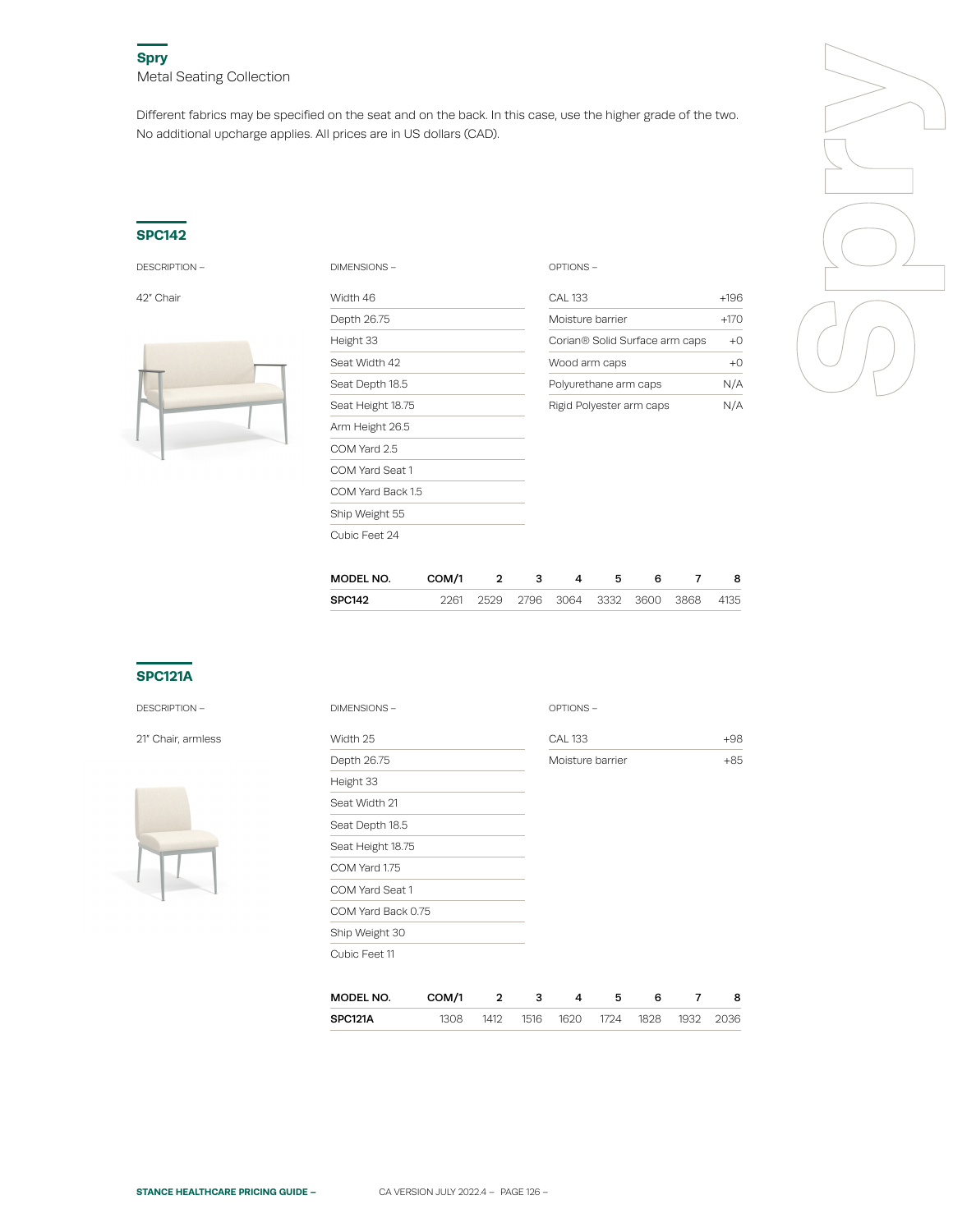Different fabrics may be specified on the seat and on the back. In this case, use the higher grade of the two. No additional upcharge applies. All prices are in US dollars (CAD).

#### **SPC142**



| <b>DESCRIPTION -</b> | DIMENSIONS -      | OPTIONS-                       |        |  |  |
|----------------------|-------------------|--------------------------------|--------|--|--|
| 42" Chair            | Width 46          | <b>CAL 133</b>                 | $+196$ |  |  |
|                      | Depth 26.75       | Moisture barrier               | $+170$ |  |  |
|                      | Height 33         | Corian® Solid Surface arm caps | $+0$   |  |  |
|                      | Seat Width 42     | Wood arm caps                  |        |  |  |
|                      | Seat Depth 18.5   | Polyurethane arm caps          | N/A    |  |  |
|                      | Seat Height 18.75 | Rigid Polyester arm caps       |        |  |  |
|                      | Arm Height 26.5   |                                |        |  |  |
|                      | COM Yard 2.5      |                                |        |  |  |
|                      | COM Yard Seat 1   |                                |        |  |  |
|                      | COM Yard Back 1.5 |                                |        |  |  |
|                      | Ship Weight 55    |                                |        |  |  |
|                      | Cubic Feet 24     |                                |        |  |  |

|                    | $+196$ |  |
|--------------------|--------|--|
| ier                | $+170$ |  |
| I Surface arm caps | $+0$   |  |
| ps                 | $+0$   |  |
| arm caps           | N/A    |  |
|                    | N I/A  |  |

| MODEL NO.     | COM/1 | $\overline{2}$ | 3 | $\mathbf{A}$ |  |                                         | 8 |
|---------------|-------|----------------|---|--------------|--|-----------------------------------------|---|
| <b>SPC142</b> |       |                |   |              |  | 2261 2529 2796 3064 3332 3600 3868 4135 |   |
|               |       |                |   |              |  |                                         |   |

## **SPC121A**

DESCRIPTION –

21" Chair, armless



| <b>DIMENSIONS -</b> |       |              |   | OPTIONS-         |   |   |   |       |
|---------------------|-------|--------------|---|------------------|---|---|---|-------|
| Width 25            |       |              |   | <b>CAL 133</b>   |   |   |   | $+98$ |
| Depth 26.75         |       |              |   | Moisture barrier |   |   |   | $+85$ |
| Height 33           |       |              |   |                  |   |   |   |       |
| Seat Width 21       |       |              |   |                  |   |   |   |       |
| Seat Depth 18.5     |       |              |   |                  |   |   |   |       |
| Seat Height 18.75   |       |              |   |                  |   |   |   |       |
| COM Yard 1.75       |       |              |   |                  |   |   |   |       |
| COM Yard Seat 1     |       |              |   |                  |   |   |   |       |
| COM Yard Back 0.75  |       |              |   |                  |   |   |   |       |
| Ship Weight 30      |       |              |   |                  |   |   |   |       |
| Cubic Feet 11       |       |              |   |                  |   |   |   |       |
|                     |       |              |   |                  |   |   |   |       |
| MODEL NO.           | COM/1 | $\mathbf{2}$ | 3 | 4                | 5 | 6 | 7 | 8     |

| SPC121A | 308 | 1412 | 1516 | 1620 | 1724 | 1828 | 1037 | 2036 |
|---------|-----|------|------|------|------|------|------|------|

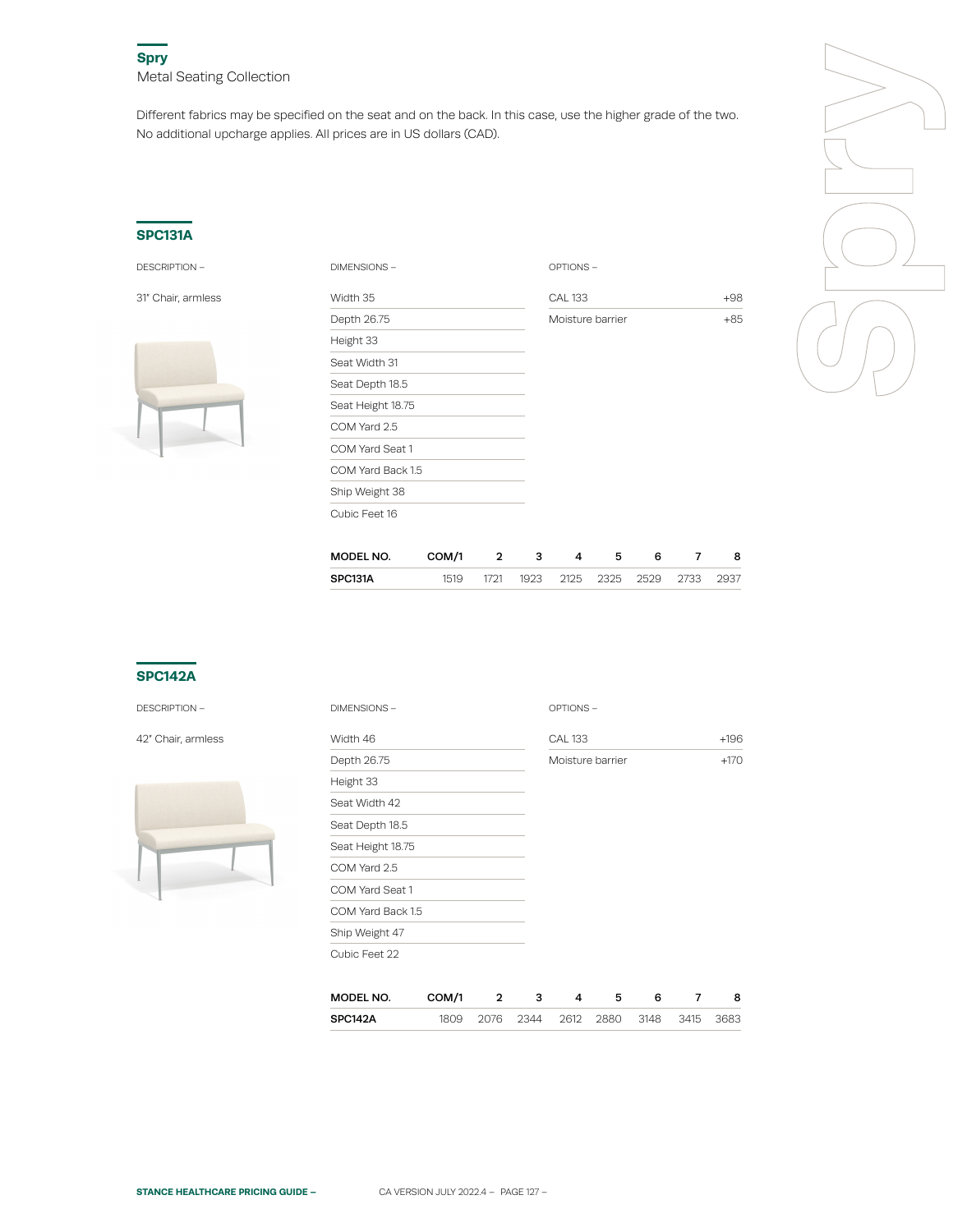Different fabrics may be specified on the seat and on the back. In this case, use the higher grade of the two. No additional upcharge applies. All prices are in US dollars (CAD).

### **SPC131A**



| <b>DESCRIPTION -</b> | DIMENSIONS-       | OPTIONS-         |       |
|----------------------|-------------------|------------------|-------|
| 31" Chair, armless   | Width 35          | <b>CAL 133</b>   | $+98$ |
|                      | Depth 26.75       | Moisture barrier | $+85$ |
|                      | Height 33         |                  |       |
|                      | Seat Width 31     |                  |       |
|                      | Seat Depth 18.5   |                  |       |
|                      | Seat Height 18.75 |                  |       |
|                      | COM Yard 2.5      |                  |       |
|                      | COM Yard Seat 1   |                  |       |
|                      | COM Yard Back 1.5 |                  |       |
|                      | Ship Weight 38    |                  |       |
|                      | Cubic Feet 16     |                  |       |

| <b>AL 133</b>    | $+98$ |
|------------------|-------|
| Moisture barrier | $+85$ |
|                  |       |



| MODEL NO. | COM/1 |      |  |                          |      |
|-----------|-------|------|--|--------------------------|------|
| SPC131A   | 1519  | 1721 |  | 1923 2125 2325 2529 2733 | 2937 |

## **SPC142A**

DESCRIPTION –

42" Chair, armless



| DIMENSIONS-       |       |   |   | OPTIONS-         |   |   |   |        |
|-------------------|-------|---|---|------------------|---|---|---|--------|
| Width 46          |       |   |   | <b>CAL 133</b>   |   |   |   | $+196$ |
| Depth 26.75       |       |   |   | Moisture barrier |   |   |   | $+170$ |
| Height 33         |       |   |   |                  |   |   |   |        |
| Seat Width 42     |       |   |   |                  |   |   |   |        |
| Seat Depth 18.5   |       |   |   |                  |   |   |   |        |
| Seat Height 18.75 |       |   |   |                  |   |   |   |        |
| COM Yard 2.5      |       |   |   |                  |   |   |   |        |
| COM Yard Seat 1   |       |   |   |                  |   |   |   |        |
| COM Yard Back 1.5 |       |   |   |                  |   |   |   |        |
| Ship Weight 47    |       |   |   |                  |   |   |   |        |
| Cubic Feet 22     |       |   |   |                  |   |   |   |        |
|                   |       |   |   |                  |   |   |   |        |
| MODEL NO.         | COM/1 | 2 | 3 | 4                | 5 | 6 | 7 | 8      |

|         |     | . .    |      | .    | . .  |      | - |
|---------|-----|--------|------|------|------|------|---|
| SPC142A | 1/6 | 22 A A | วคาว | 2880 | 3148 | 3115 |   |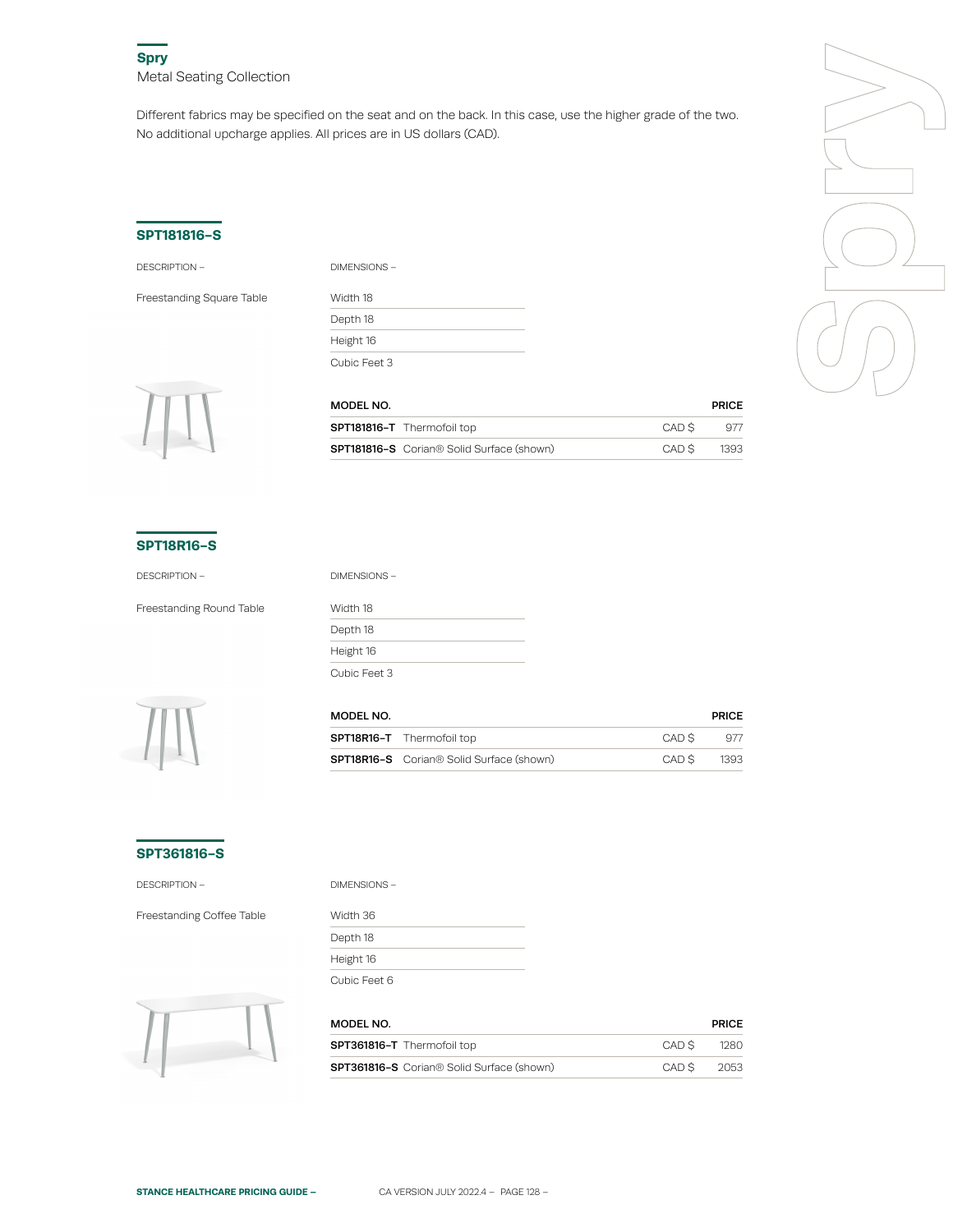Different fabrics may be specified on the seat and on the back. In this case, use the higher grade of the two. No additional upcharge applies. All prices are in US dollars (CAD).

### **SPT181816-S**

DESCRIPTION – DIMENSIONS –

Freestanding Square Table

| .            |  |
|--------------|--|
| Width 18     |  |
| Depth 18     |  |
| Height 16    |  |
| Cubic Feet 3 |  |



| MODEL NO.                                                    |       | <b>PRICE</b> |
|--------------------------------------------------------------|-------|--------------|
| <b>SPT181816-T</b> Thermofoil top                            | CAD S | 977          |
| <b>SPT181816-S</b> Corian <sup>®</sup> Solid Surface (shown) | CAD S | 1393         |

#### **SPT18R16-S**

DESCRIPTION – DIMENSIONS –

Freestanding Round Table Width 18

Depth 18 Height 16 Cubic Feet 3



| MODEL NO. |                                                             |       | <b>PRICE</b> |
|-----------|-------------------------------------------------------------|-------|--------------|
|           | <b>SPT18R16-T</b> Thermofoil top                            | CAD S | 977          |
|           | <b>SPT18R16-S</b> Corian <sup>®</sup> Solid Surface (shown) | CAD S | 1393         |

### **SPT361816-S**

DESCRIPTION –

Freestanding Coffee Table

| DIMENSIONS - |  |
|--------------|--|
| Width 36     |  |
| Depth 18     |  |
| Height 16    |  |
| Cubic Feet 6 |  |



| MODEL NO.                                        |       | <b>PRICE</b> |
|--------------------------------------------------|-------|--------------|
| <b>SPT361816-T</b> Thermofoil top                | CAD S | 1280         |
| <b>SPT361816-S</b> Corian® Solid Surface (shown) | CAD S | -2053        |